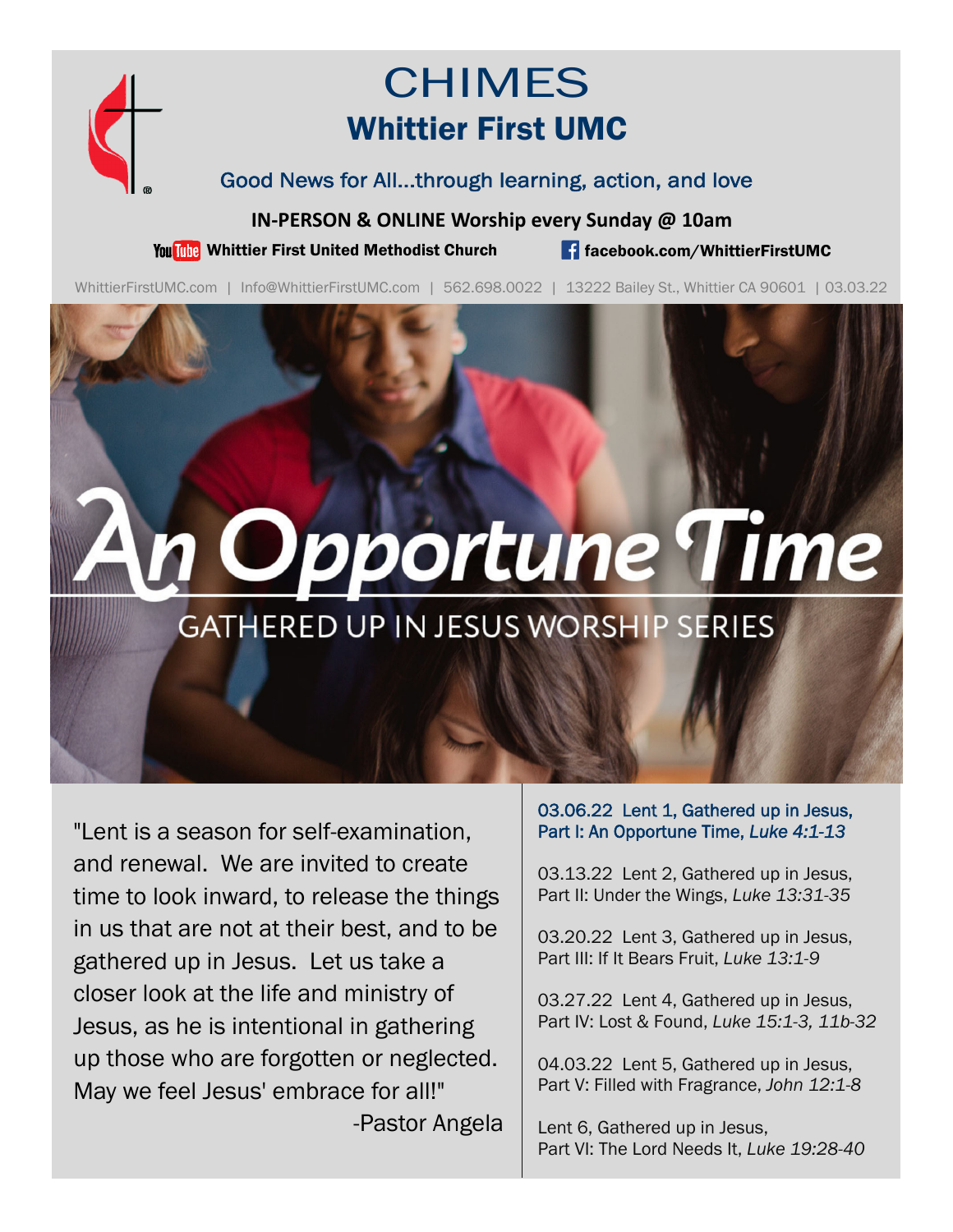

## CHIMES Whittier First UMC

Good News for All...through learning, action, and love

**IN‐PERSON & ONLINE Worship every Sunday @ 10am**

You Tube Whittier First United Methodist Church **for the Change of Schook.com/WhittierFirstUMC** 

WhittierFirstUMC.com | Info@WhittierFirstUMC.com | 562.698.0022 | 13222 Bailey St., Whittier CA 90601 | 03.03.22

# Opportune Time

### **GATHERED UP IN JESUS WORSHIP SERIES**

"Lent is a season for self-examination, and renewal. We are invited to create time to look inward, to release the things in us that are not at their best, and to be gathered up in Jesus. Let us take a closer look at the life and ministry of Jesus, as he is intentional in gathering up those who are forgotten or neglected. May we feel Jesus' embrace for all!" -Pastor Angela 03.06.22 Lent 1, Gathered up in Jesus, Part I: An Opportune Time, *Luke 4:1-13*

03.13.22 Lent 2, Gathered up in Jesus, Part II: Under the Wings, *Luke 13:31-35*

03.20.22 Lent 3, Gathered up in Jesus, Part III: If It Bears Fruit, *Luke 13:1-9*

03.27.22 Lent 4, Gathered up in Jesus, Part IV: Lost & Found, *Luke 15:1-3, 11b-32*

04.03.22 Lent 5, Gathered up in Jesus, Part V: Filled with Fragrance, *John 12:1-8* 

Lent 6, Gathered up in Jesus, Part VI: The Lord Needs It, *Luke 19:28-40*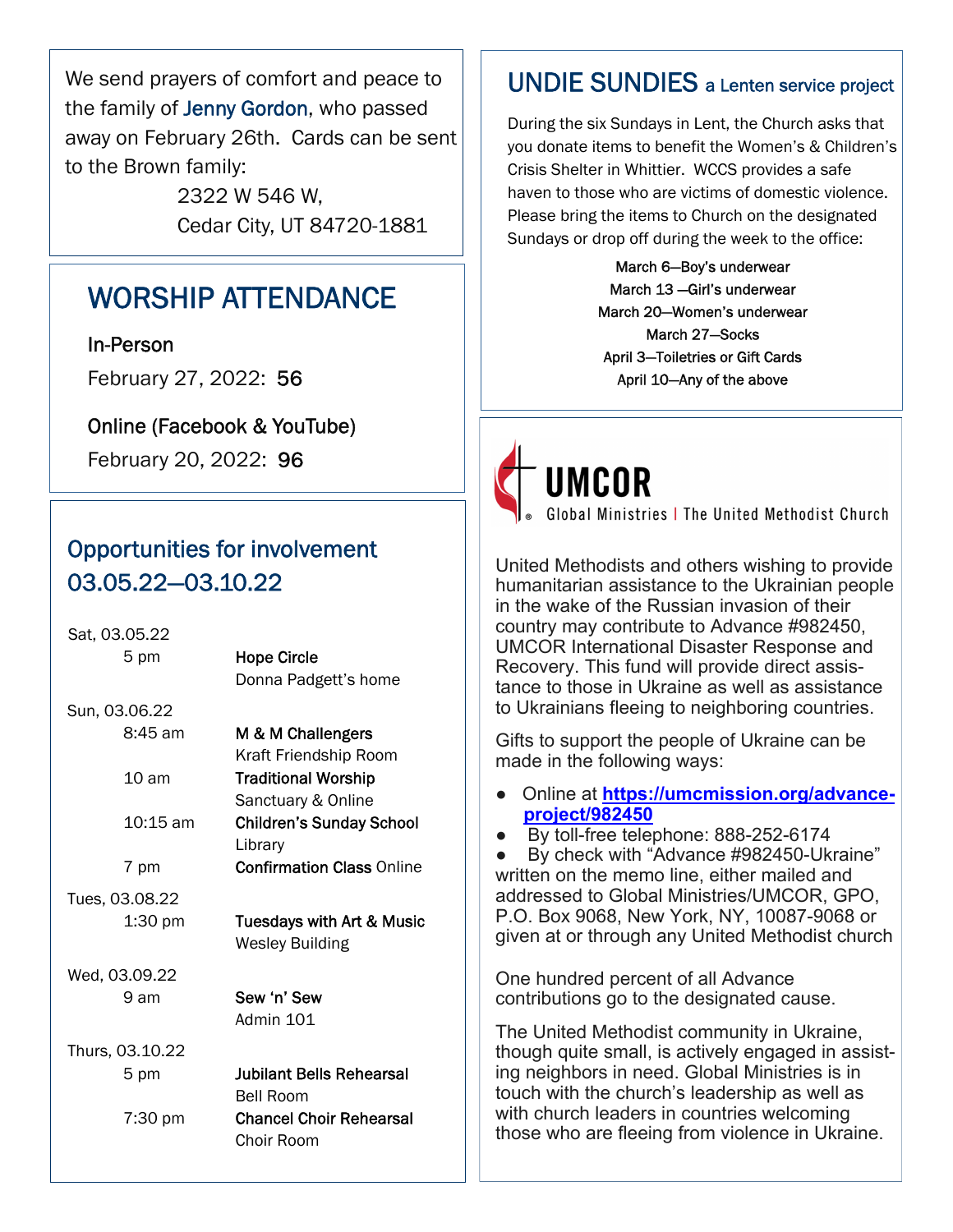We send prayers of comfort and peace to the family of Jenny Gordon, who passed away on February 26th. Cards can be sent to the Brown family:

> 2322 W 546 W, Cedar City, UT 84720-1881

#### WORSHIP ATTENDANCE

In-Person

February 27, 2022: 56

Online (Facebook & YouTube)

February 20, 2022: 96

#### Opportunities for involvement 03.05.22—03.10.22

| Sat, 03.05.22      |                                              |
|--------------------|----------------------------------------------|
| 5 pm               | <b>Hope Circle</b>                           |
|                    | Donna Padgett's home                         |
| Sun, 03.06.22      |                                              |
| $8:45$ am          | M & M Challengers                            |
|                    | Kraft Friendship Room                        |
| $10 \text{ am}$    | <b>Traditional Worship</b>                   |
|                    | Sanctuary & Online                           |
| $10:15 \text{ am}$ | <b>Children's Sunday School</b>              |
|                    | Library                                      |
| 7 pm               | <b>Confirmation Class Online</b>             |
| Tues, 03.08.22     |                                              |
| $1:30$ pm          | <b>Tuesdays with Art &amp; Music</b>         |
|                    | <b>Wesley Building</b>                       |
| Wed, 03.09.22      |                                              |
| 9 am               | Sew 'n' Sew                                  |
|                    | Admin 101                                    |
| Thurs, 03.10.22    |                                              |
| 5 pm               | Jubilant Bells Rehearsal                     |
|                    | <b>Bell Room</b>                             |
| 7:30 pm            | <b>Chancel Choir Rehearsal</b><br>Choir Room |
|                    |                                              |

#### UNDIE SUNDIES a Lenten service project

During the six Sundays in Lent, the Church asks that you donate items to benefit the Women's & Children's Crisis Shelter in Whittier. WCCS provides a safe haven to those who are victims of domestic violence. Please bring the items to Church on the designated Sundays or drop off during the week to the office:

> March 6—Boy's underwear March 13 —Girl's underwear March 20—Women's underwear March 27—Socks April 3—Toiletries or Gift Cards April 10—Any of the above

# **UMCOR**

Global Ministries | The United Methodist Church

United Methodists and others wishing to provide humanitarian assistance to the Ukrainian people in the wake of the Russian invasion of their country may contribute to Advance #982450, UMCOR International Disaster Response and Recovery. This fund will provide direct assistance to those in Ukraine as well as assistance to Ukrainians fleeing to neighboring countries.

Gifts to support the people of Ukraine can be made in the following ways:

- Online at **https://umcmission.org/advanceproject/982450**
- By toll-free telephone: 888-252-6174

By check with "Advance #982450-Ukraine" written on the memo line, either mailed and addressed to Global Ministries/UMCOR, GPO, P.O. Box 9068, New York, NY, 10087-9068 or given at or through any United Methodist church

One hundred percent of all Advance contributions go to the designated cause.

The United Methodist community in Ukraine, though quite small, is actively engaged in assisting neighbors in need. Global Ministries is in touch with the church's leadership as well as with church leaders in countries welcoming those who are fleeing from violence in Ukraine.